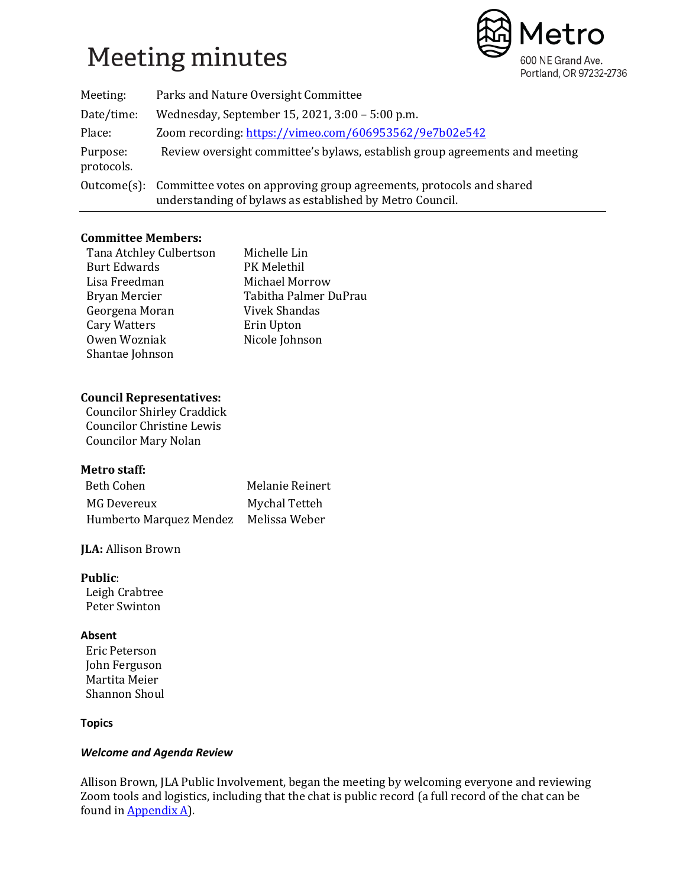# **Meeting minutes**



| Meeting:               | Parks and Nature Oversight Committee                                                                                                        |  |
|------------------------|---------------------------------------------------------------------------------------------------------------------------------------------|--|
| Date/time:             | Wednesday, September 15, 2021, 3:00 - 5:00 p.m.                                                                                             |  |
| Place:                 | Zoom recording: https://vimeo.com/606953562/9e7b02e542                                                                                      |  |
| Purpose:<br>protocols. | Review oversight committee's bylaws, establish group agreements and meeting                                                                 |  |
|                        | Outcome(s): Committee votes on approving group agreements, protocols and shared<br>understanding of bylaws as established by Metro Council. |  |

# **Committee Members:**

| Tana Atchley Culbertson | Michelle Lin          |
|-------------------------|-----------------------|
| <b>Burt Edwards</b>     | PK Melethil           |
| Lisa Freedman           | Michael Morrow        |
| Bryan Mercier           | Tabitha Palmer DuPrau |
| Georgena Moran          | Vivek Shandas         |
| Cary Watters            | Erin Upton            |
| Owen Wozniak            | Nicole Johnson        |
| Shantae Johnson         |                       |

# **Council Representatives:**

 Councilor Shirley Craddick Councilor Christine Lewis Councilor Mary Nolan

# **Metro staff:**

| Beth Cohen              | Melanie Reinert |
|-------------------------|-----------------|
| MG Devereux             | Mychal Tetteh   |
| Humberto Marquez Mendez | Melissa Weber   |

# **JLA:** Allison Brown

**Public**:

 Leigh Crabtree Peter Swinton

# **Absent**

 Eric Peterson John Ferguson Martita Meier Shannon Shoul

# **Topics**

# *Welcome and Agenda Review*

Allison Brown, JLA Public Involvement, began the meeting by welcoming everyone and reviewing Zoom tools and logistics, including that the chat is public record (a full record of the chat can be found i[n Appendix A\)](#page-8-0).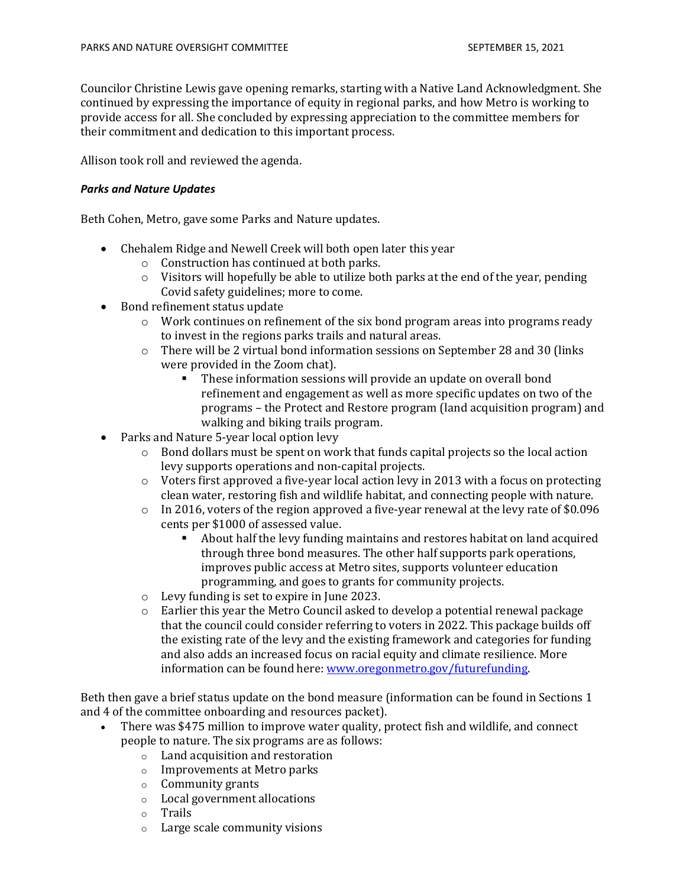Councilor Christine Lewis gave opening remarks, starting with a Native Land Acknowledgment. She continued by expressing the importance of equity in regional parks, and how Metro is working to provide access for all. She concluded by expressing appreciation to the committee members for their commitment and dedication to this important process.

Allison took roll and reviewed the agenda.

#### *Parks and Nature Updates*

Beth Cohen, Metro, gave some Parks and Nature updates.

- Chehalem Ridge and Newell Creek will both open later this year
	- o Construction has continued at both parks.
	- o Visitors will hopefully be able to utilize both parks at the end of the year, pending Covid safety guidelines; more to come.
- Bond refinement status update
	- $\circ$  Work continues on refinement of the six bond program areas into programs ready to invest in the regions parks trails and natural areas.
	- $\circ$  There will be 2 virtual bond information sessions on September 28 and 30 (links were provided in the Zoom chat).
		- These information sessions will provide an update on overall bond refinement and engagement as well as more specific updates on two of the programs – the Protect and Restore program (land acquisition program) and walking and biking trails program.
- Parks and Nature 5-year local option levy
	- $\circ$  Bond dollars must be spent on work that funds capital projects so the local action levy supports operations and non-capital projects.
	- o Voters first approved a five-year local action levy in 2013 with a focus on protecting clean water, restoring fish and wildlife habitat, and connecting people with nature.
	- o In 2016, voters of the region approved a five-year renewal at the levy rate of \$0.096 cents per \$1000 of assessed value.
		- About half the levy funding maintains and restores habitat on land acquired through three bond measures. The other half supports park operations, improves public access at Metro sites, supports volunteer education programming, and goes to grants for community projects.
	- o Levy funding is set to expire in June 2023.
	- $\circ$  Earlier this year the Metro Council asked to develop a potential renewal package that the council could consider referring to voters in 2022. This package builds off the existing rate of the levy and the existing framework and categories for funding and also adds an increased focus on racial equity and climate resilience. More information can be found here: [www.oregonmetro.gov/futurefunding.](http://www.oregonmetro.gov/futurefunding)

Beth then gave a brief status update on the bond measure (information can be found in Sections 1 and 4 of the committee onboarding and resources packet).

- There was \$475 million to improve water quality, protect fish and wildlife, and connect people to nature. The six programs are as follows:
	- o Land acquisition and restoration
	- o Improvements at Metro parks
	- o Community grants
	- o Local government allocations
	- o Trails
	- o Large scale community visions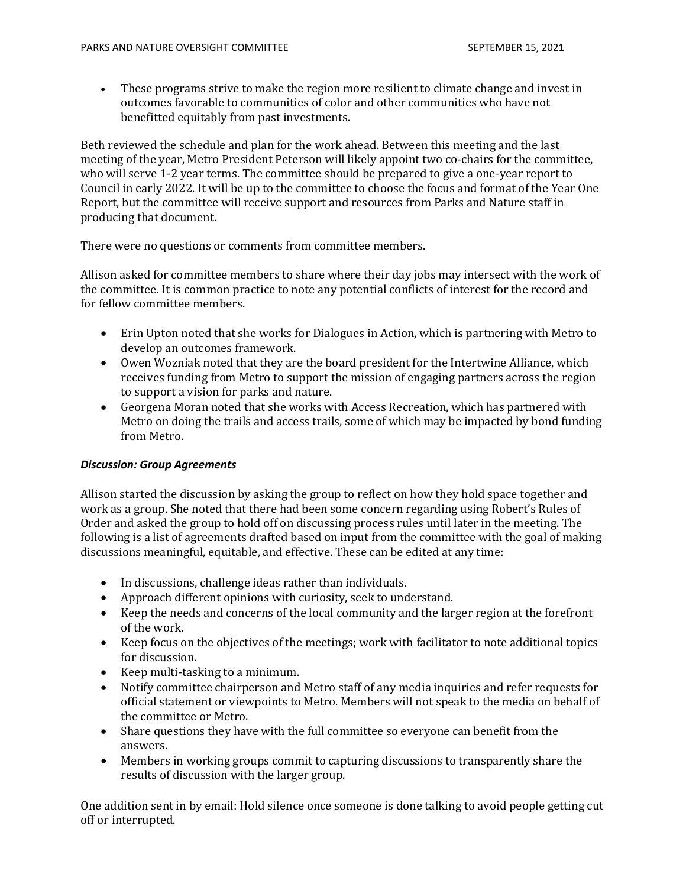• These programs strive to make the region more resilient to climate change and invest in outcomes favorable to communities of color and other communities who have not benefitted equitably from past investments.

Beth reviewed the schedule and plan for the work ahead. Between this meeting and the last meeting of the year, Metro President Peterson will likely appoint two co-chairs for the committee, who will serve 1-2 year terms. The committee should be prepared to give a one-year report to Council in early 2022. It will be up to the committee to choose the focus and format of the Year One Report, but the committee will receive support and resources from Parks and Nature staff in producing that document.

There were no questions or comments from committee members.

Allison asked for committee members to share where their day jobs may intersect with the work of the committee. It is common practice to note any potential conflicts of interest for the record and for fellow committee members.

- Erin Upton noted that she works for Dialogues in Action, which is partnering with Metro to develop an outcomes framework.
- Owen Wozniak noted that they are the board president for the Intertwine Alliance, which receives funding from Metro to support the mission of engaging partners across the region to support a vision for parks and nature.
- Georgena Moran noted that she works with Access Recreation, which has partnered with Metro on doing the trails and access trails, some of which may be impacted by bond funding from Metro.

#### *Discussion: Group Agreements*

Allison started the discussion by asking the group to reflect on how they hold space together and work as a group. She noted that there had been some concern regarding using Robert's Rules of Order and asked the group to hold off on discussing process rules until later in the meeting. The following is a list of agreements drafted based on input from the committee with the goal of making discussions meaningful, equitable, and effective. These can be edited at any time:

- In discussions, challenge ideas rather than individuals.
- Approach different opinions with curiosity, seek to understand.
- Keep the needs and concerns of the local community and the larger region at the forefront of the work.
- Keep focus on the objectives of the meetings; work with facilitator to note additional topics for discussion.
- Keep multi-tasking to a minimum.
- Notify committee chairperson and Metro staff of any media inquiries and refer requests for official statement or viewpoints to Metro. Members will not speak to the media on behalf of the committee or Metro.
- Share questions they have with the full committee so everyone can benefit from the answers.
- Members in working groups commit to capturing discussions to transparently share the results of discussion with the larger group.

One addition sent in by email: Hold silence once someone is done talking to avoid people getting cut off or interrupted.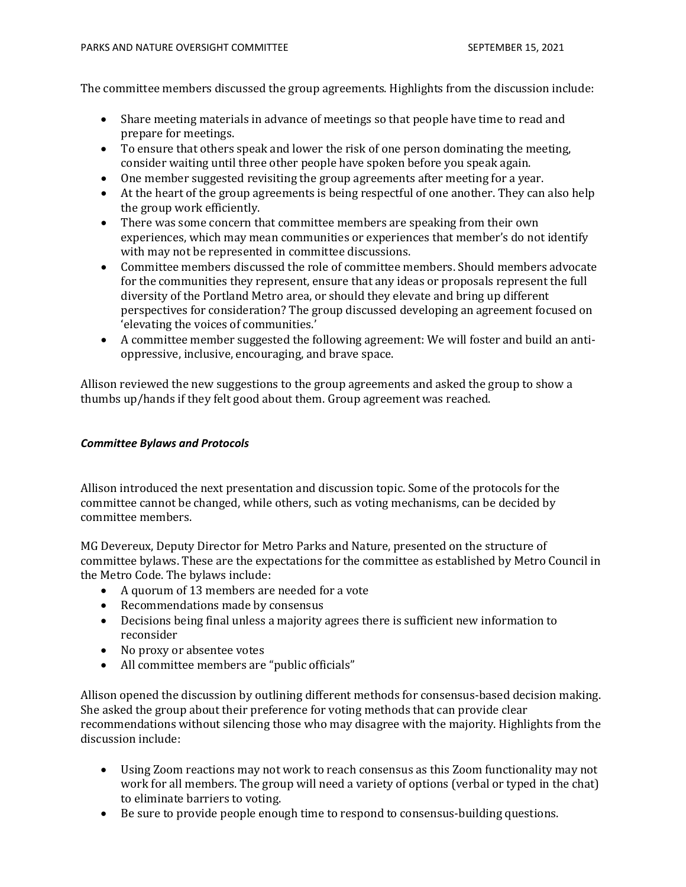The committee members discussed the group agreements. Highlights from the discussion include:

- Share meeting materials in advance of meetings so that people have time to read and prepare for meetings.
- To ensure that others speak and lower the risk of one person dominating the meeting, consider waiting until three other people have spoken before you speak again.
- One member suggested revisiting the group agreements after meeting for a year.
- At the heart of the group agreements is being respectful of one another. They can also help the group work efficiently.
- There was some concern that committee members are speaking from their own experiences, which may mean communities or experiences that member's do not identify with may not be represented in committee discussions.
- Committee members discussed the role of committee members. Should members advocate for the communities they represent, ensure that any ideas or proposals represent the full diversity of the Portland Metro area, or should they elevate and bring up different perspectives for consideration? The group discussed developing an agreement focused on 'elevating the voices of communities.'
- A committee member suggested the following agreement: We will foster and build an antioppressive, inclusive, encouraging, and brave space.

Allison reviewed the new suggestions to the group agreements and asked the group to show a thumbs up/hands if they felt good about them. Group agreement was reached.

#### *Committee Bylaws and Protocols*

Allison introduced the next presentation and discussion topic. Some of the protocols for the committee cannot be changed, while others, such as voting mechanisms, can be decided by committee members.

MG Devereux, Deputy Director for Metro Parks and Nature, presented on the structure of committee bylaws. These are the expectations for the committee as established by Metro Council in the Metro Code. The bylaws include:

- A quorum of 13 members are needed for a vote
- Recommendations made by consensus
- Decisions being final unless a majority agrees there is sufficient new information to reconsider
- No proxy or absentee votes
- All committee members are "public officials"

Allison opened the discussion by outlining different methods for consensus-based decision making. She asked the group about their preference for voting methods that can provide clear recommendations without silencing those who may disagree with the majority. Highlights from the discussion include:

- Using Zoom reactions may not work to reach consensus as this Zoom functionality may not work for all members. The group will need a variety of options (verbal or typed in the chat) to eliminate barriers to voting.
- Be sure to provide people enough time to respond to consensus-building questions.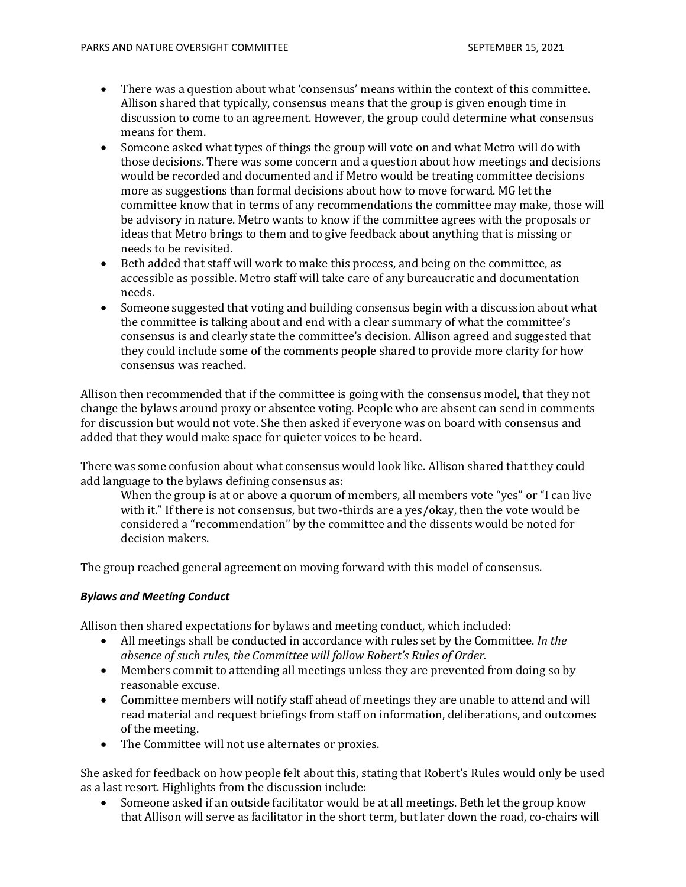- There was a question about what 'consensus' means within the context of this committee. Allison shared that typically, consensus means that the group is given enough time in discussion to come to an agreement. However, the group could determine what consensus means for them.
- Someone asked what types of things the group will vote on and what Metro will do with those decisions. There was some concern and a question about how meetings and decisions would be recorded and documented and if Metro would be treating committee decisions more as suggestions than formal decisions about how to move forward. MG let the committee know that in terms of any recommendations the committee may make, those will be advisory in nature. Metro wants to know if the committee agrees with the proposals or ideas that Metro brings to them and to give feedback about anything that is missing or needs to be revisited.
- Beth added that staff will work to make this process, and being on the committee, as accessible as possible. Metro staff will take care of any bureaucratic and documentation needs.
- Someone suggested that voting and building consensus begin with a discussion about what the committee is talking about and end with a clear summary of what the committee's consensus is and clearly state the committee's decision. Allison agreed and suggested that they could include some of the comments people shared to provide more clarity for how consensus was reached.

Allison then recommended that if the committee is going with the consensus model, that they not change the bylaws around proxy or absentee voting. People who are absent can send in comments for discussion but would not vote. She then asked if everyone was on board with consensus and added that they would make space for quieter voices to be heard.

There was some confusion about what consensus would look like. Allison shared that they could add language to the bylaws defining consensus as:

When the group is at or above a quorum of members, all members vote "yes" or "I can live with it." If there is not consensus, but two-thirds are a yes/okay, then the vote would be considered a "recommendation" by the committee and the dissents would be noted for decision makers.

The group reached general agreement on moving forward with this model of consensus.

#### *Bylaws and Meeting Conduct*

Allison then shared expectations for bylaws and meeting conduct, which included:

- All meetings shall be conducted in accordance with rules set by the Committee. *In the absence of such rules, the Committee will follow Robert's Rules of Order.*
- Members commit to attending all meetings unless they are prevented from doing so by reasonable excuse.
- Committee members will notify staff ahead of meetings they are unable to attend and will read material and request briefings from staff on information, deliberations, and outcomes of the meeting.
- The Committee will not use alternates or proxies.

She asked for feedback on how people felt about this, stating that Robert's Rules would only be used as a last resort. Highlights from the discussion include:

• Someone asked if an outside facilitator would be at all meetings. Beth let the group know that Allison will serve as facilitator in the short term, but later down the road, co-chairs will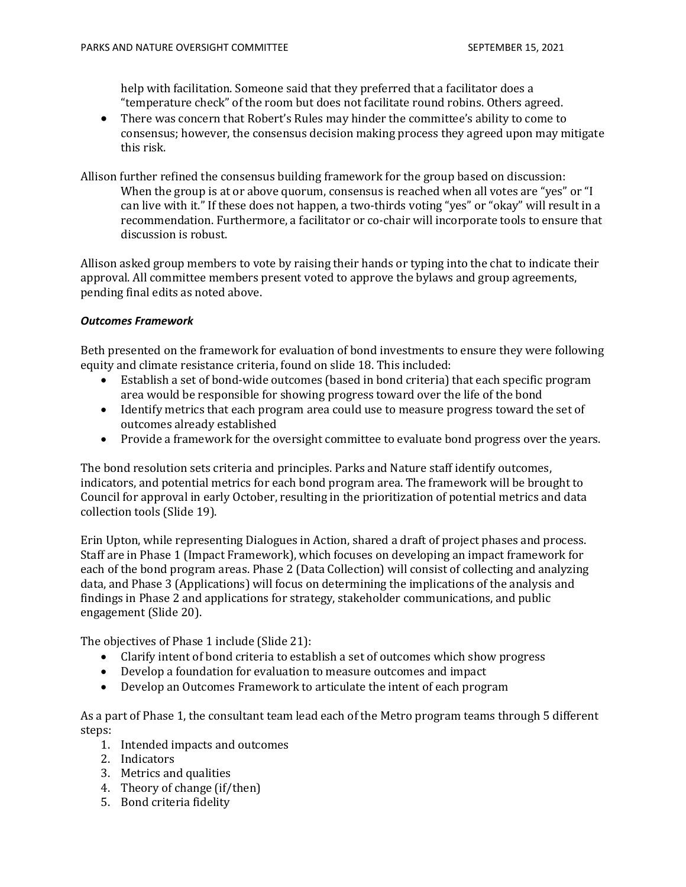help with facilitation. Someone said that they preferred that a facilitator does a "temperature check" of the room but does not facilitate round robins. Others agreed.

- There was concern that Robert's Rules may hinder the committee's ability to come to consensus; however, the consensus decision making process they agreed upon may mitigate this risk.
- Allison further refined the consensus building framework for the group based on discussion: When the group is at or above quorum, consensus is reached when all votes are "yes" or "I can live with it." If these does not happen, a two-thirds voting "yes" or "okay" will result in a recommendation. Furthermore, a facilitator or co-chair will incorporate tools to ensure that discussion is robust.

Allison asked group members to vote by raising their hands or typing into the chat to indicate their approval. All committee members present voted to approve the bylaws and group agreements, pending final edits as noted above.

#### *Outcomes Framework*

Beth presented on the framework for evaluation of bond investments to ensure they were following equity and climate resistance criteria, found on slide 18. This included:

- Establish a set of bond-wide outcomes (based in bond criteria) that each specific program area would be responsible for showing progress toward over the life of the bond
- Identify metrics that each program area could use to measure progress toward the set of outcomes already established
- Provide a framework for the oversight committee to evaluate bond progress over the years.

The bond resolution sets criteria and principles. Parks and Nature staff identify outcomes, indicators, and potential metrics for each bond program area. The framework will be brought to Council for approval in early October, resulting in the prioritization of potential metrics and data collection tools (Slide 19).

Erin Upton, while representing Dialogues in Action, shared a draft of project phases and process. Staff are in Phase 1 (Impact Framework), which focuses on developing an impact framework for each of the bond program areas. Phase 2 (Data Collection) will consist of collecting and analyzing data, and Phase 3 (Applications) will focus on determining the implications of the analysis and findings in Phase 2 and applications for strategy, stakeholder communications, and public engagement (Slide 20).

The objectives of Phase 1 include (Slide 21):

- Clarify intent of bond criteria to establish a set of outcomes which show progress
- Develop a foundation for evaluation to measure outcomes and impact
- Develop an Outcomes Framework to articulate the intent of each program

As a part of Phase 1, the consultant team lead each of the Metro program teams through 5 different steps:

- 1. Intended impacts and outcomes
- 2. Indicators
- 3. Metrics and qualities
- 4. Theory of change (if/then)
- 5. Bond criteria fidelity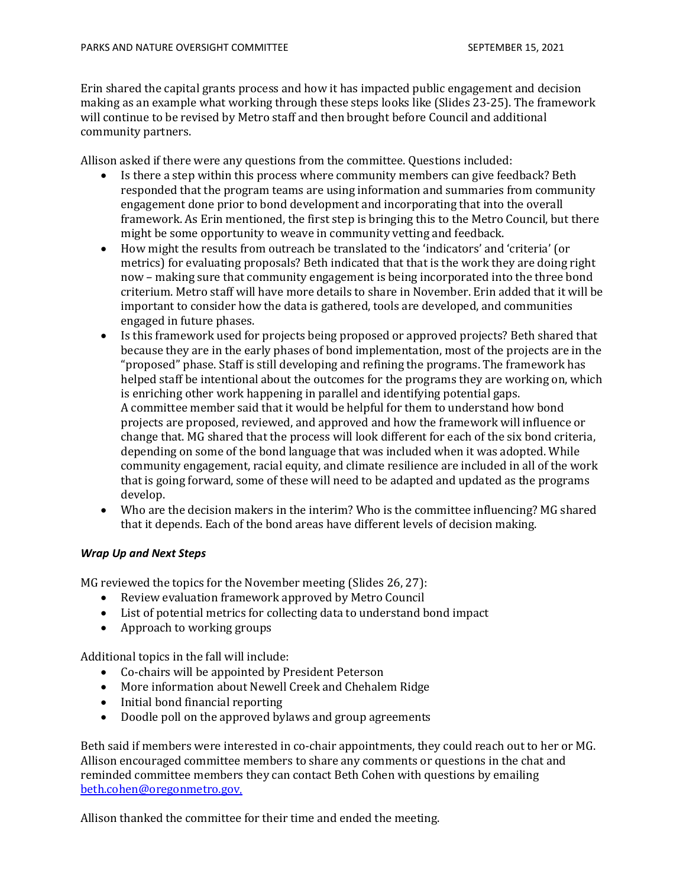Erin shared the capital grants process and how it has impacted public engagement and decision making as an example what working through these steps looks like (Slides 23-25). The framework will continue to be revised by Metro staff and then brought before Council and additional community partners.

Allison asked if there were any questions from the committee. Questions included:

- Is there a step within this process where community members can give feedback? Beth responded that the program teams are using information and summaries from community engagement done prior to bond development and incorporating that into the overall framework. As Erin mentioned, the first step is bringing this to the Metro Council, but there might be some opportunity to weave in community vetting and feedback.
- How might the results from outreach be translated to the 'indicators' and 'criteria' (or metrics) for evaluating proposals? Beth indicated that that is the work they are doing right now – making sure that community engagement is being incorporated into the three bond criterium. Metro staff will have more details to share in November. Erin added that it will be important to consider how the data is gathered, tools are developed, and communities engaged in future phases.
- Is this framework used for projects being proposed or approved projects? Beth shared that because they are in the early phases of bond implementation, most of the projects are in the "proposed" phase. Staff is still developing and refining the programs. The framework has helped staff be intentional about the outcomes for the programs they are working on, which is enriching other work happening in parallel and identifying potential gaps. A committee member said that it would be helpful for them to understand how bond projects are proposed, reviewed, and approved and how the framework will influence or change that. MG shared that the process will look different for each of the six bond criteria, depending on some of the bond language that was included when it was adopted. While community engagement, racial equity, and climate resilience are included in all of the work that is going forward, some of these will need to be adapted and updated as the programs develop.
- Who are the decision makers in the interim? Who is the committee influencing? MG shared that it depends. Each of the bond areas have different levels of decision making.

#### *Wrap Up and Next Steps*

MG reviewed the topics for the November meeting (Slides 26, 27):

- Review evaluation framework approved by Metro Council
- List of potential metrics for collecting data to understand bond impact
- Approach to working groups

Additional topics in the fall will include:

- Co-chairs will be appointed by President Peterson
- More information about Newell Creek and Chehalem Ridge
- Initial bond financial reporting
- Doodle poll on the approved bylaws and group agreements

Beth said if members were interested in co-chair appointments, they could reach out to her or MG. Allison encouraged committee members to share any comments or questions in the chat and reminded committee members they can contact Beth Cohen with questions by emailing [beth.cohen@oregonmetro.gov.](mailto:beth.cohen@oregonmetro.gov)

Allison thanked the committee for their time and ended the meeting.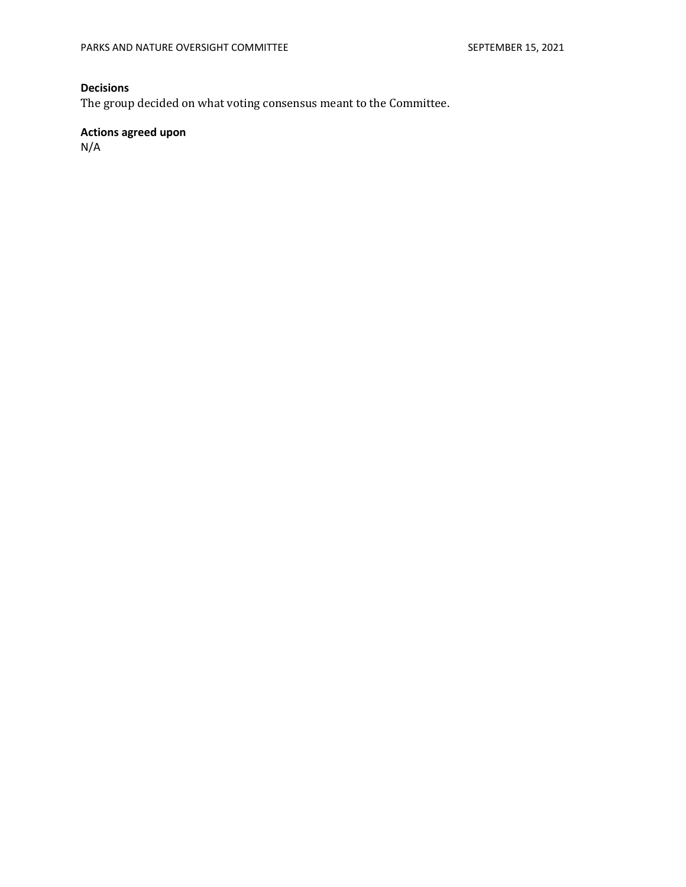# **Decisions**

The group decided on what voting consensus meant to the Committee.

# **Actions agreed upon**

N/A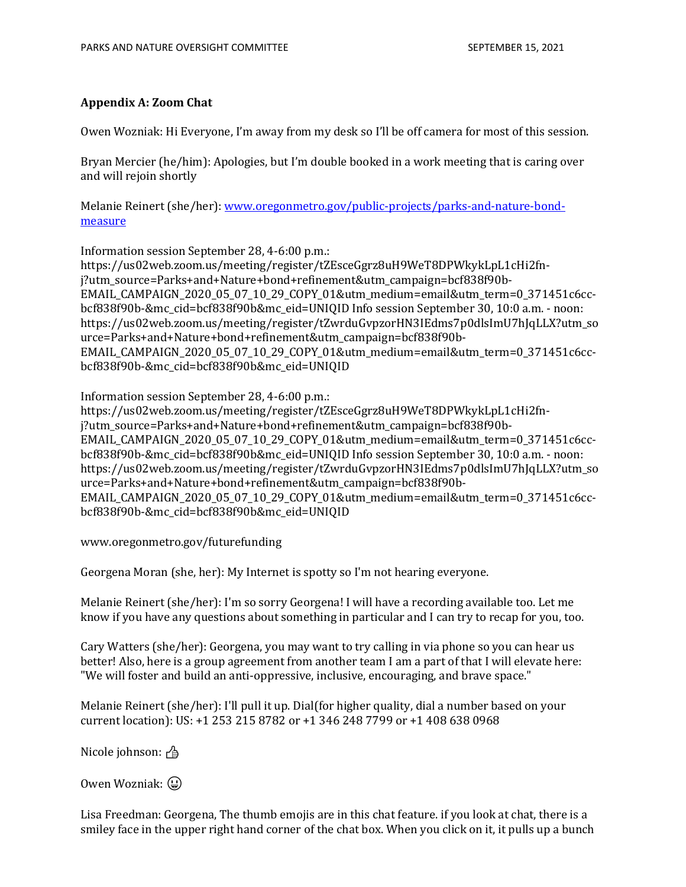#### <span id="page-8-0"></span>**Appendix A: Zoom Chat**

Owen Wozniak: Hi Everyone, I'm away from my desk so I'll be off camera for most of this session.

Bryan Mercier (he/him): Apologies, but I'm double booked in a work meeting that is caring over and will rejoin shortly

Melanie Reinert (she/her)[: www.oregonmetro.gov/public-projects/parks-and-nature-bond](http://www.oregonmetro.gov/public-projects/parks-and-nature-bond-measure)[measure](http://www.oregonmetro.gov/public-projects/parks-and-nature-bond-measure)

Information session September 28, 4-6:00 p.m.:

https://us02web.zoom.us/meeting/register/tZEsceGgrz8uH9WeT8DPWkykLpL1cHi2fnj?utm\_source=Parks+and+Nature+bond+refinement&utm\_campaign=bcf838f90b-EMAIL\_CAMPAIGN\_2020\_05\_07\_10\_29\_COPY\_01&utm\_medium=email&utm\_term=0\_371451c6ccbcf838f90b-&mc\_cid=bcf838f90b&mc\_eid=UNIQID Info session September 30, 10:0 a.m. - noon: https://us02web.zoom.us/meeting/register/tZwrduGvpzorHN3IEdms7p0dlsImU7hJqLLX?utm\_so urce=Parks+and+Nature+bond+refinement&utm\_campaign=bcf838f90b-EMAIL\_CAMPAIGN\_2020\_05\_07\_10\_29\_COPY\_01&utm\_medium=email&utm\_term=0\_371451c6ccbcf838f90b-&mc\_cid=bcf838f90b&mc\_eid=UNIQID

Information session September 28, 4-6:00 p.m.:

https://us02web.zoom.us/meeting/register/tZEsceGgrz8uH9WeT8DPWkykLpL1cHi2fnj?utm\_source=Parks+and+Nature+bond+refinement&utm\_campaign=bcf838f90b-EMAIL\_CAMPAIGN\_2020\_05\_07\_10\_29\_COPY\_01&utm\_medium=email&utm\_term=0\_371451c6ccbcf838f90b-&mc\_cid=bcf838f90b&mc\_eid=UNIQID Info session September 30, 10:0 a.m. - noon: https://us02web.zoom.us/meeting/register/tZwrduGvpzorHN3IEdms7p0dlsImU7hJqLLX?utm\_so urce=Parks+and+Nature+bond+refinement&utm\_campaign=bcf838f90b-EMAIL\_CAMPAIGN\_2020\_05\_07\_10\_29\_COPY\_01&utm\_medium=email&utm\_term=0\_371451c6ccbcf838f90b-&mc\_cid=bcf838f90b&mc\_eid=UNIQID

www.oregonmetro.gov/futurefunding

Georgena Moran (she, her): My Internet is spotty so I'm not hearing everyone.

Melanie Reinert (she/her): I'm so sorry Georgena! I will have a recording available too. Let me know if you have any questions about something in particular and I can try to recap for you, too.

Cary Watters (she/her): Georgena, you may want to try calling in via phone so you can hear us better! Also, here is a group agreement from another team I am a part of that I will elevate here: "We will foster and build an anti-oppressive, inclusive, encouraging, and brave space."

Melanie Reinert (she/her): I'll pull it up. Dial(for higher quality, dial a number based on your current location): US: +1 253 215 8782 or +1 346 248 7799 or +1 408 638 0968

Nicole johnson: �

Owen Wozniak: (2)

Lisa Freedman: Georgena, The thumb emojis are in this chat feature. if you look at chat, there is a smiley face in the upper right hand corner of the chat box. When you click on it, it pulls up a bunch